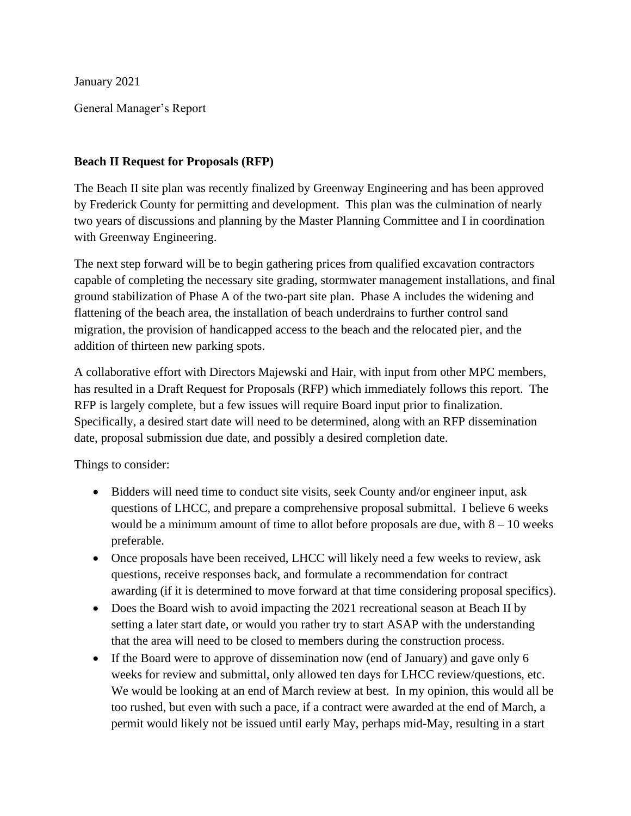January 2021

General Manager's Report

### **Beach II Request for Proposals (RFP)**

The Beach II site plan was recently finalized by Greenway Engineering and has been approved by Frederick County for permitting and development. This plan was the culmination of nearly two years of discussions and planning by the Master Planning Committee and I in coordination with Greenway Engineering.

The next step forward will be to begin gathering prices from qualified excavation contractors capable of completing the necessary site grading, stormwater management installations, and final ground stabilization of Phase A of the two-part site plan. Phase A includes the widening and flattening of the beach area, the installation of beach underdrains to further control sand migration, the provision of handicapped access to the beach and the relocated pier, and the addition of thirteen new parking spots.

A collaborative effort with Directors Majewski and Hair, with input from other MPC members, has resulted in a Draft Request for Proposals (RFP) which immediately follows this report. The RFP is largely complete, but a few issues will require Board input prior to finalization. Specifically, a desired start date will need to be determined, along with an RFP dissemination date, proposal submission due date, and possibly a desired completion date.

Things to consider:

- Bidders will need time to conduct site visits, seek County and/or engineer input, ask questions of LHCC, and prepare a comprehensive proposal submittal. I believe 6 weeks would be a minimum amount of time to allot before proposals are due, with  $8 - 10$  weeks preferable.
- Once proposals have been received, LHCC will likely need a few weeks to review, ask questions, receive responses back, and formulate a recommendation for contract awarding (if it is determined to move forward at that time considering proposal specifics).
- Does the Board wish to avoid impacting the 2021 recreational season at Beach II by setting a later start date, or would you rather try to start ASAP with the understanding that the area will need to be closed to members during the construction process.
- If the Board were to approve of dissemination now (end of January) and gave only 6 weeks for review and submittal, only allowed ten days for LHCC review/questions, etc. We would be looking at an end of March review at best. In my opinion, this would all be too rushed, but even with such a pace, if a contract were awarded at the end of March, a permit would likely not be issued until early May, perhaps mid-May, resulting in a start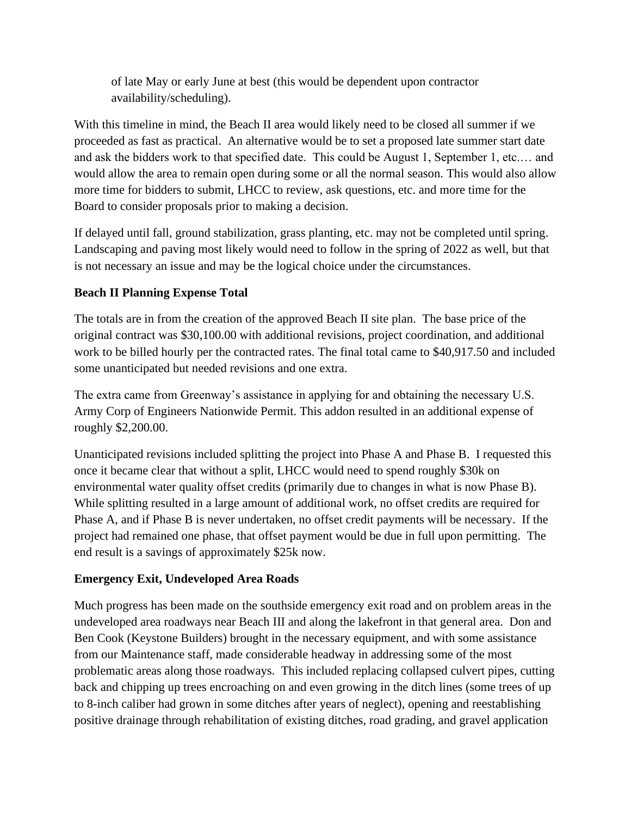of late May or early June at best (this would be dependent upon contractor availability/scheduling).

With this timeline in mind, the Beach II area would likely need to be closed all summer if we proceeded as fast as practical. An alternative would be to set a proposed late summer start date and ask the bidders work to that specified date. This could be August 1, September 1, etc.… and would allow the area to remain open during some or all the normal season. This would also allow more time for bidders to submit, LHCC to review, ask questions, etc. and more time for the Board to consider proposals prior to making a decision.

If delayed until fall, ground stabilization, grass planting, etc. may not be completed until spring. Landscaping and paving most likely would need to follow in the spring of 2022 as well, but that is not necessary an issue and may be the logical choice under the circumstances.

## **Beach II Planning Expense Total**

The totals are in from the creation of the approved Beach II site plan. The base price of the original contract was \$30,100.00 with additional revisions, project coordination, and additional work to be billed hourly per the contracted rates. The final total came to \$40,917.50 and included some unanticipated but needed revisions and one extra.

The extra came from Greenway's assistance in applying for and obtaining the necessary U.S. Army Corp of Engineers Nationwide Permit. This addon resulted in an additional expense of roughly \$2,200.00.

Unanticipated revisions included splitting the project into Phase A and Phase B. I requested this once it became clear that without a split, LHCC would need to spend roughly \$30k on environmental water quality offset credits (primarily due to changes in what is now Phase B). While splitting resulted in a large amount of additional work, no offset credits are required for Phase A, and if Phase B is never undertaken, no offset credit payments will be necessary. If the project had remained one phase, that offset payment would be due in full upon permitting. The end result is a savings of approximately \$25k now.

## **Emergency Exit, Undeveloped Area Roads**

Much progress has been made on the southside emergency exit road and on problem areas in the undeveloped area roadways near Beach III and along the lakefront in that general area. Don and Ben Cook (Keystone Builders) brought in the necessary equipment, and with some assistance from our Maintenance staff, made considerable headway in addressing some of the most problematic areas along those roadways. This included replacing collapsed culvert pipes, cutting back and chipping up trees encroaching on and even growing in the ditch lines (some trees of up to 8-inch caliber had grown in some ditches after years of neglect), opening and reestablishing positive drainage through rehabilitation of existing ditches, road grading, and gravel application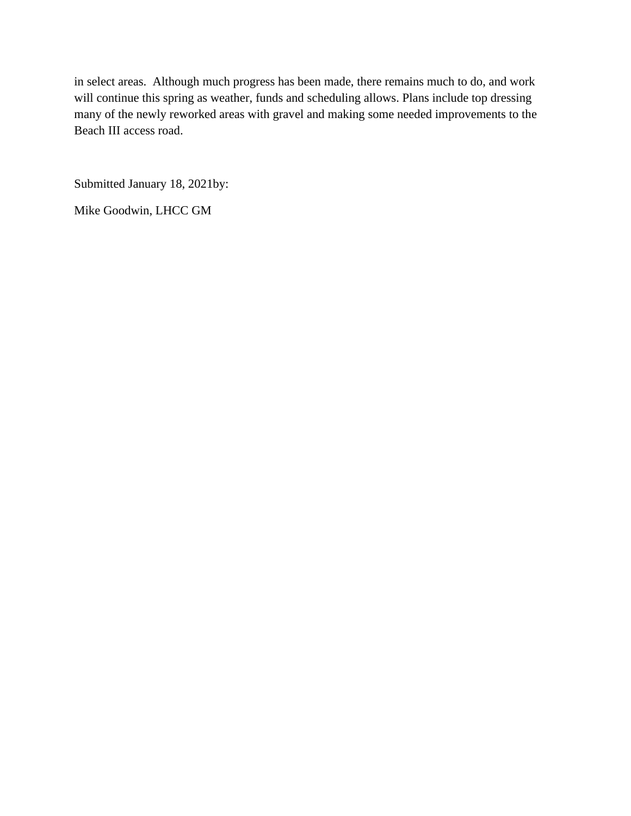in select areas. Although much progress has been made, there remains much to do, and work will continue this spring as weather, funds and scheduling allows. Plans include top dressing many of the newly reworked areas with gravel and making some needed improvements to the Beach III access road.

Submitted January 18, 2021by:

Mike Goodwin, LHCC GM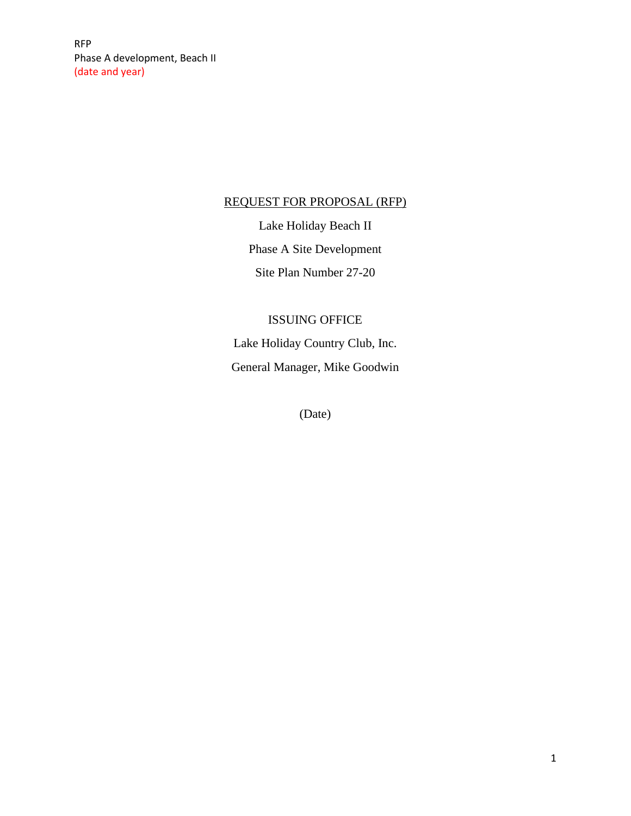RFP Phase A development, Beach II (date and year)

### REQUEST FOR PROPOSAL (RFP)

Lake Holiday Beach II Phase A Site Development Site Plan Number 27-20

# ISSUING OFFICE

Lake Holiday Country Club, Inc. General Manager, Mike Goodwin

(Date)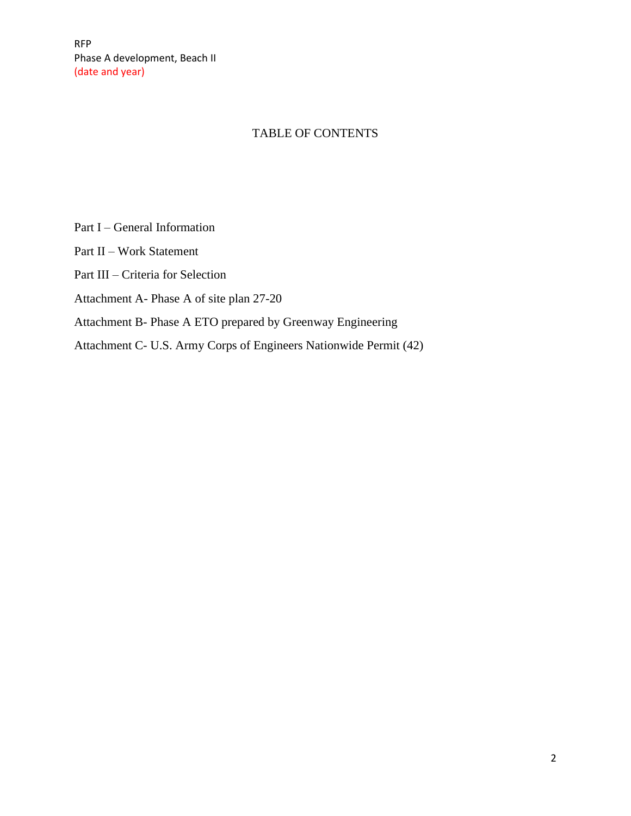## TABLE OF CONTENTS

- Part I General Information
- Part II Work Statement
- Part III Criteria for Selection
- Attachment A- Phase A of site plan 27-20
- Attachment B- Phase A ETO prepared by Greenway Engineering
- Attachment C- U.S. Army Corps of Engineers Nationwide Permit (42)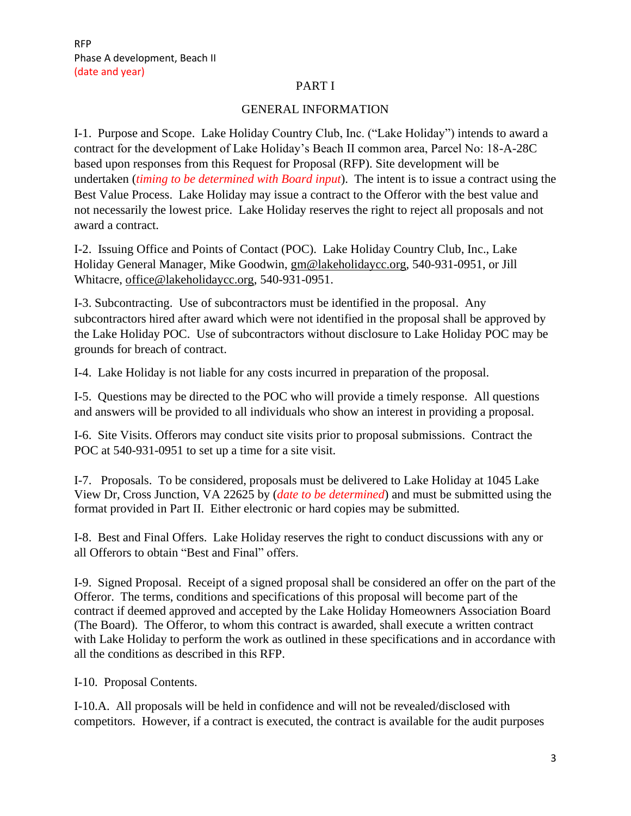#### PART I

#### GENERAL INFORMATION

I-1. Purpose and Scope. Lake Holiday Country Club, Inc. ("Lake Holiday") intends to award a contract for the development of Lake Holiday's Beach II common area, Parcel No: 18-A-28C based upon responses from this Request for Proposal (RFP). Site development will be undertaken (*timing to be determined with Board input*). The intent is to issue a contract using the Best Value Process. Lake Holiday may issue a contract to the Offeror with the best value and not necessarily the lowest price. Lake Holiday reserves the right to reject all proposals and not award a contract.

I-2. Issuing Office and Points of Contact (POC). Lake Holiday Country Club, Inc., Lake Holiday General Manager, Mike Goodwin, [gm@lakeholidaycc.org,](mailto:gm@lakeholidaycc.org) 540-931-0951, or Jill Whitacre, [office@lakeholidaycc.org,](mailto:office@lakeholidaycc.org) 540-931-0951.

I-3. Subcontracting. Use of subcontractors must be identified in the proposal. Any subcontractors hired after award which were not identified in the proposal shall be approved by the Lake Holiday POC. Use of subcontractors without disclosure to Lake Holiday POC may be grounds for breach of contract.

I-4. Lake Holiday is not liable for any costs incurred in preparation of the proposal.

I-5. Questions may be directed to the POC who will provide a timely response. All questions and answers will be provided to all individuals who show an interest in providing a proposal.

I-6. Site Visits. Offerors may conduct site visits prior to proposal submissions. Contract the POC at 540-931-0951 to set up a time for a site visit.

I-7. Proposals. To be considered, proposals must be delivered to Lake Holiday at 1045 Lake View Dr, Cross Junction, VA 22625 by (*date to be determined*) and must be submitted using the format provided in Part II. Either electronic or hard copies may be submitted.

I-8. Best and Final Offers. Lake Holiday reserves the right to conduct discussions with any or all Offerors to obtain "Best and Final" offers.

I-9. Signed Proposal. Receipt of a signed proposal shall be considered an offer on the part of the Offeror. The terms, conditions and specifications of this proposal will become part of the contract if deemed approved and accepted by the Lake Holiday Homeowners Association Board (The Board). The Offeror, to whom this contract is awarded, shall execute a written contract with Lake Holiday to perform the work as outlined in these specifications and in accordance with all the conditions as described in this RFP.

I-10. Proposal Contents.

I-10.A. All proposals will be held in confidence and will not be revealed/disclosed with competitors. However, if a contract is executed, the contract is available for the audit purposes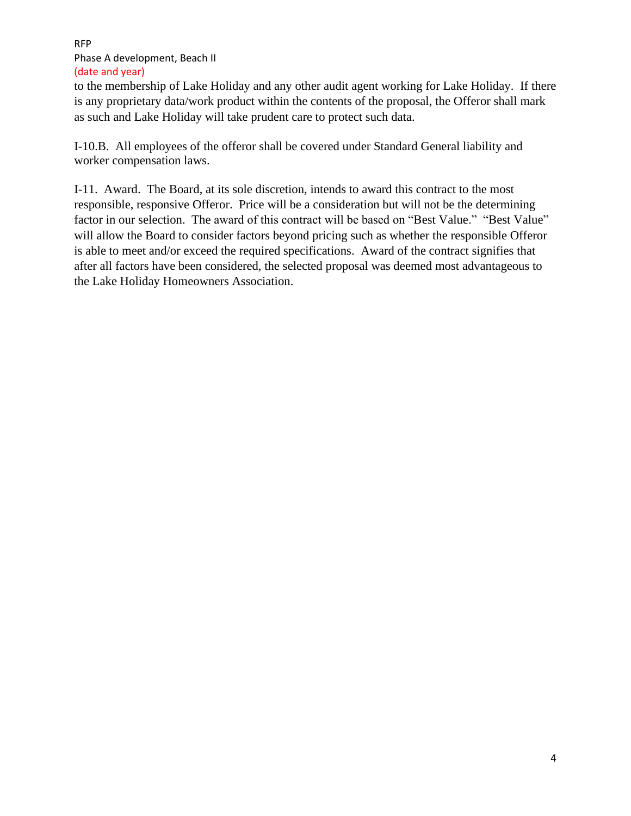#### RFP Phase A development, Beach II (date and year)

to the membership of Lake Holiday and any other audit agent working for Lake Holiday. If there is any proprietary data/work product within the contents of the proposal, the Offeror shall mark as such and Lake Holiday will take prudent care to protect such data.

I-10.B. All employees of the offeror shall be covered under Standard General liability and worker compensation laws.

I-11. Award. The Board, at its sole discretion, intends to award this contract to the most responsible, responsive Offeror. Price will be a consideration but will not be the determining factor in our selection. The award of this contract will be based on "Best Value." "Best Value" will allow the Board to consider factors beyond pricing such as whether the responsible Offeror is able to meet and/or exceed the required specifications. Award of the contract signifies that after all factors have been considered, the selected proposal was deemed most advantageous to the Lake Holiday Homeowners Association.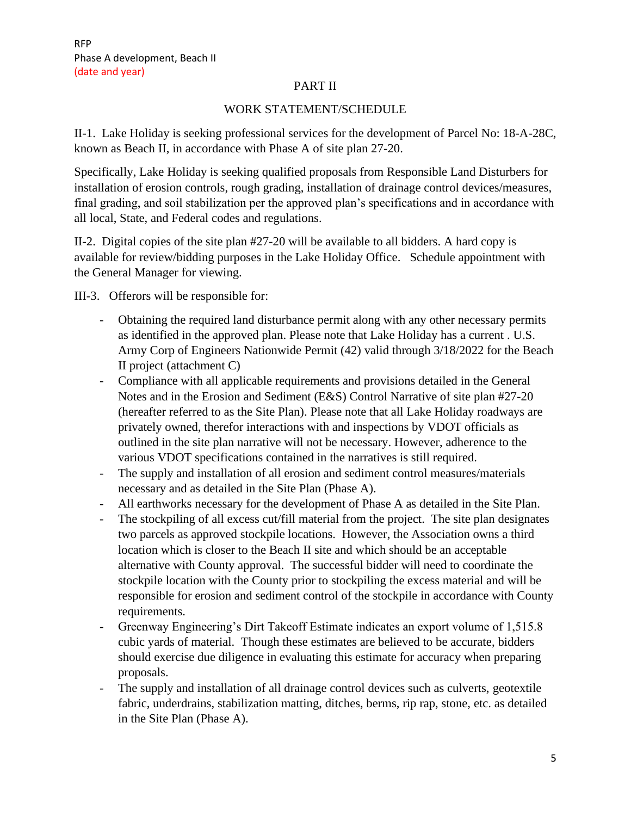#### PART II

### WORK STATEMENT/SCHEDULE

II-1. Lake Holiday is seeking professional services for the development of Parcel No: 18-A-28C, known as Beach II, in accordance with Phase A of site plan 27-20.

Specifically, Lake Holiday is seeking qualified proposals from Responsible Land Disturbers for installation of erosion controls, rough grading, installation of drainage control devices/measures, final grading, and soil stabilization per the approved plan's specifications and in accordance with all local, State, and Federal codes and regulations.

II-2. Digital copies of the site plan #27-20 will be available to all bidders. A hard copy is available for review/bidding purposes in the Lake Holiday Office. Schedule appointment with the General Manager for viewing.

III-3. Offerors will be responsible for:

- Obtaining the required land disturbance permit along with any other necessary permits as identified in the approved plan. Please note that Lake Holiday has a current . U.S. Army Corp of Engineers Nationwide Permit (42) valid through 3/18/2022 for the Beach II project (attachment C)
- Compliance with all applicable requirements and provisions detailed in the General Notes and in the Erosion and Sediment (E&S) Control Narrative of site plan #27-20 (hereafter referred to as the Site Plan). Please note that all Lake Holiday roadways are privately owned, therefor interactions with and inspections by VDOT officials as outlined in the site plan narrative will not be necessary. However, adherence to the various VDOT specifications contained in the narratives is still required.
- The supply and installation of all erosion and sediment control measures/materials necessary and as detailed in the Site Plan (Phase A).
- All earthworks necessary for the development of Phase A as detailed in the Site Plan.
- The stockpiling of all excess cut/fill material from the project. The site plan designates two parcels as approved stockpile locations. However, the Association owns a third location which is closer to the Beach II site and which should be an acceptable alternative with County approval. The successful bidder will need to coordinate the stockpile location with the County prior to stockpiling the excess material and will be responsible for erosion and sediment control of the stockpile in accordance with County requirements.
- Greenway Engineering's Dirt Takeoff Estimate indicates an export volume of 1,515.8 cubic yards of material. Though these estimates are believed to be accurate, bidders should exercise due diligence in evaluating this estimate for accuracy when preparing proposals.
- The supply and installation of all drainage control devices such as culverts, geotextile fabric, underdrains, stabilization matting, ditches, berms, rip rap, stone, etc. as detailed in the Site Plan (Phase A).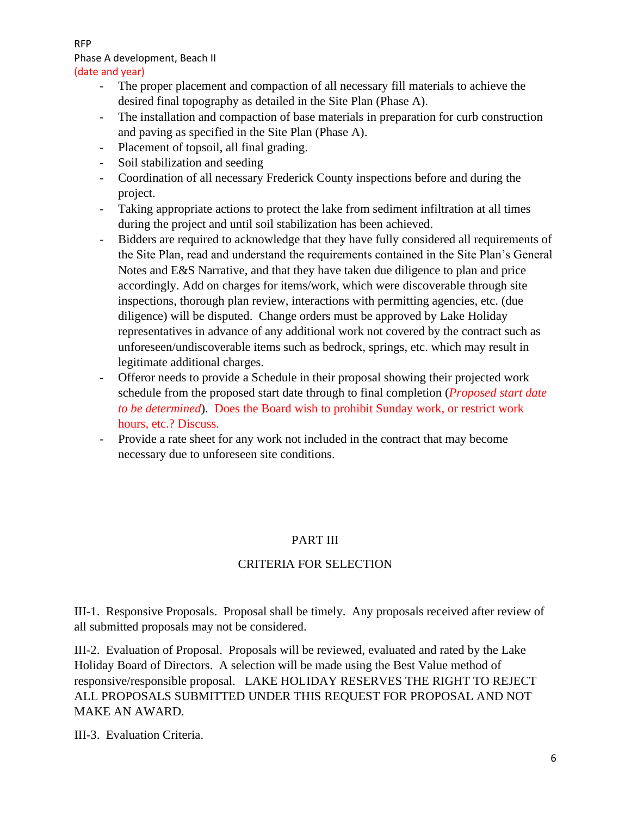RFP

# Phase A development, Beach II

#### (date and year)

- The proper placement and compaction of all necessary fill materials to achieve the desired final topography as detailed in the Site Plan (Phase A).
- The installation and compaction of base materials in preparation for curb construction and paving as specified in the Site Plan (Phase A).
- Placement of topsoil, all final grading.
- Soil stabilization and seeding
- Coordination of all necessary Frederick County inspections before and during the project.
- Taking appropriate actions to protect the lake from sediment infiltration at all times during the project and until soil stabilization has been achieved.
- Bidders are required to acknowledge that they have fully considered all requirements of the Site Plan, read and understand the requirements contained in the Site Plan's General Notes and E&S Narrative, and that they have taken due diligence to plan and price accordingly. Add on charges for items/work, which were discoverable through site inspections, thorough plan review, interactions with permitting agencies, etc. (due diligence) will be disputed. Change orders must be approved by Lake Holiday representatives in advance of any additional work not covered by the contract such as unforeseen/undiscoverable items such as bedrock, springs, etc. which may result in legitimate additional charges.
- Offeror needs to provide a Schedule in their proposal showing their projected work schedule from the proposed start date through to final completion (*Proposed start date to be determined*). Does the Board wish to prohibit Sunday work, or restrict work hours, etc.? Discuss.
- Provide a rate sheet for any work not included in the contract that may become necessary due to unforeseen site conditions.

## PART III

## CRITERIA FOR SELECTION

III-1. Responsive Proposals. Proposal shall be timely. Any proposals received after review of all submitted proposals may not be considered.

III-2. Evaluation of Proposal. Proposals will be reviewed, evaluated and rated by the Lake Holiday Board of Directors. A selection will be made using the Best Value method of responsive/responsible proposal. LAKE HOLIDAY RESERVES THE RIGHT TO REJECT ALL PROPOSALS SUBMITTED UNDER THIS REQUEST FOR PROPOSAL AND NOT MAKE AN AWARD.

III-3. Evaluation Criteria.